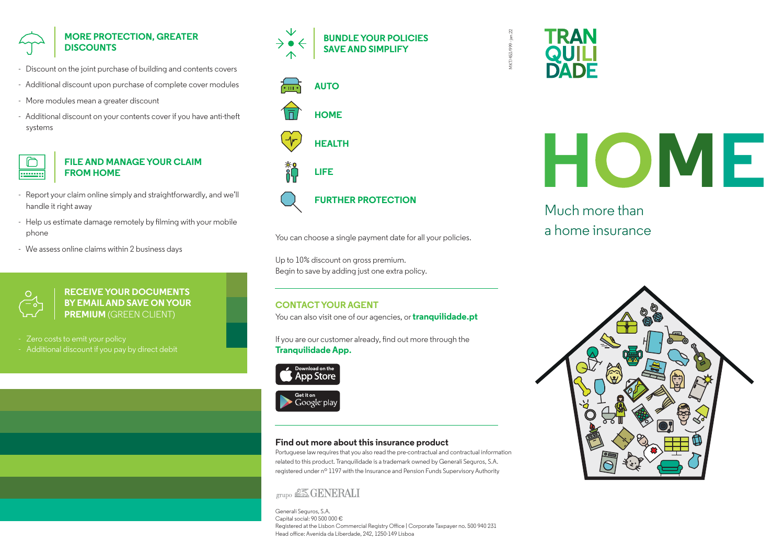# **MORE PROTECTION, GREATER DISCOUNTS**

- Discount on the joint purchase of building and contents covers
- Additional discount upon purchase of complete cover modules
- More modules mean a greater discount
- Additional discount on your contents cover if you have anti-theft systems



## **FILE AND MANAGE YOUR CLAIM FROM HOME**

- Report your claim online simply and straightforwardly, and we'll handle it right away
- Help us estimate damage remotely by filming with your mobile phone
- We assess online claims within 2 business days



**RECEIVE YOUR DOCUMENTS BY EMAIL AND SAVE ON YOUR PREMIUM** (GREEN CLIENT)

Zero costs to emit your policy

- Additional discount if you pay by direct debit





**LIFE**



# **FURTHER PROTECTION**

You can choose a single payment date for all your policies.

Up to 10% discount on gross premium. Begin to save by adding just one extra policy.

## **CONTACT YOUR AGENT**

You can also visit one of our agencies, or **tranquilidade.pt** 

If you are our customer already, find out more through the **Tranquilidade App.**





## **Find out more about this insurance product**

Portuguese law requires that you also read the pre-contractual and contractual information related to this product. Tranquilidade is a trademark owned by Generali Seguros, S.A. registered under nº 1197 with the Insurance and Pension Funds Supervisory Authority

# grupo & GENERALI

Generali Seguros, S.A. Capital social: 90 500 000 € Registered at the Lisbon Commercial Registry Office | Corporate Taxpayer no. 500 940 231 Head office: Avenida da Liberdade, 242, 1250-149 Lisboa



MKT/453/999 - jan.22

AKT/453/999-

 $an 22$ 

# HOME

Much more than a home insurance